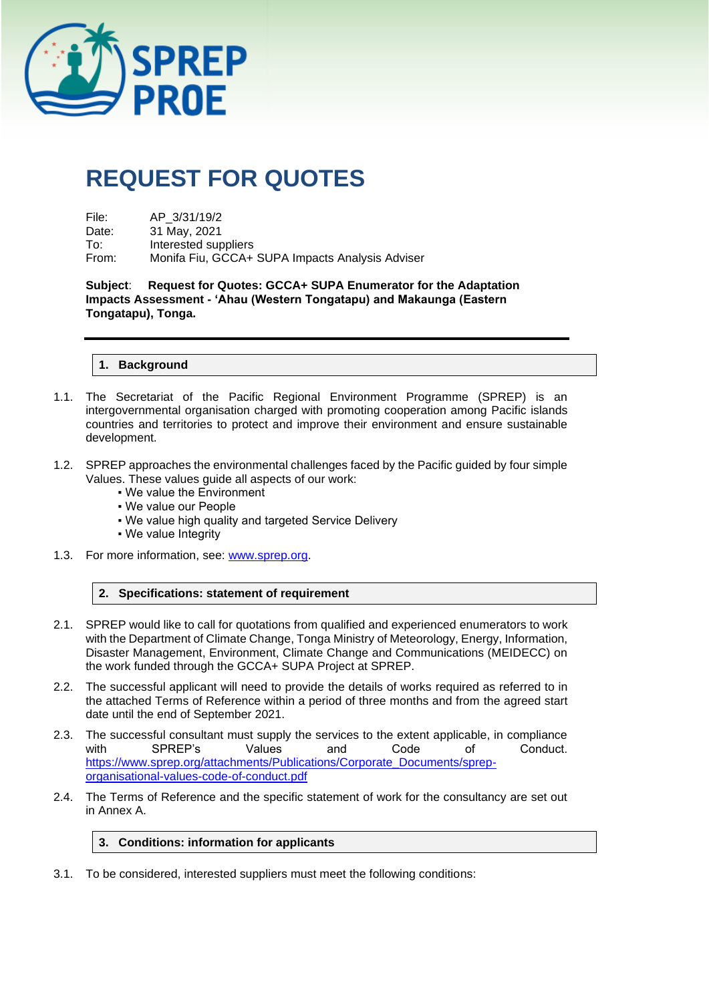

# **REQUEST FOR QUOTES**

| File: | AP 3/31/19/2                                    |
|-------|-------------------------------------------------|
| Date: | 31 May, 2021                                    |
| To:   | Interested suppliers                            |
| From: | Monifa Fiu, GCCA+ SUPA Impacts Analysis Adviser |

**Subject**: **Request for Quotes: GCCA+ SUPA Enumerator for the Adaptation Impacts Assessment - 'Ahau (Western Tongatapu) and Makaunga (Eastern Tongatapu), Tonga.**

#### **1. Background**

- 1.1. The Secretariat of the Pacific Regional Environment Programme (SPREP) is an intergovernmental organisation charged with promoting cooperation among Pacific islands countries and territories to protect and improve their environment and ensure sustainable development.
- 1.2. SPREP approaches the environmental challenges faced by the Pacific guided by four simple Values. These values guide all aspects of our work:
	- We value the Environment
	- We value our People
	- . We value high quality and targeted Service Delivery
	- We value Integrity
- 1.3. For more information, see: [www.sprep.org.](http://www.sprep.org/)

#### **2. Specifications: statement of requirement**

- 2.1. SPREP would like to call for quotations from qualified and experienced enumerators to work with the Department of Climate Change, Tonga Ministry of Meteorology, Energy, Information, Disaster Management, Environment, Climate Change and Communications (MEIDECC) on the work funded through the GCCA+ SUPA Project at SPREP.
- 2.2. The successful applicant will need to provide the details of works required as referred to in the attached Terms of Reference within a period of three months and from the agreed start date until the end of September 2021.
- 2.3. The successful consultant must supply the services to the extent applicable, in compliance<br>with SPREP's Values and Code of Conduct. with SPREP's Values and Code of Conduct. [https://www.sprep.org/attachments/Publications/Corporate\\_Documents/sprep](https://www.sprep.org/attachments/Publications/Corporate_Documents/sprep-organisational-values-code-of-conduct.pdf)[organisational-values-code-of-conduct.pdf](https://www.sprep.org/attachments/Publications/Corporate_Documents/sprep-organisational-values-code-of-conduct.pdf)
- 2.4. The Terms of Reference and the specific statement of work for the consultancy are set out in Annex A.

#### **3. Conditions: information for applicants**

3.1. To be considered, interested suppliers must meet the following conditions: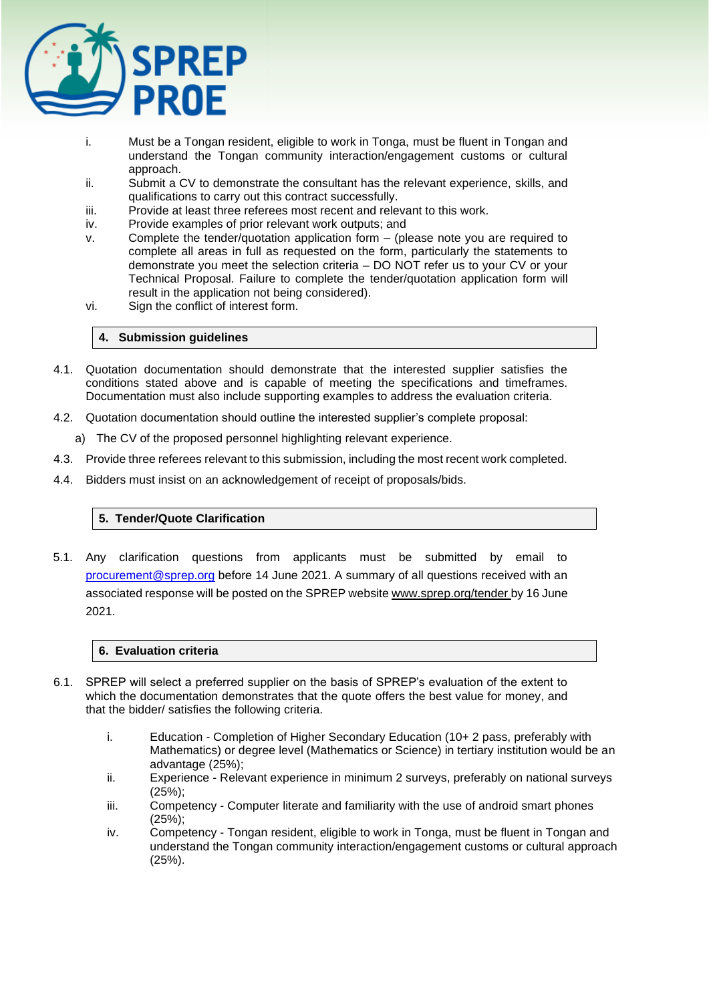

- i. Must be a Tongan resident, eligible to work in Tonga, must be fluent in Tongan and understand the Tongan community interaction/engagement customs or cultural approach.
- ii. Submit a CV to demonstrate the consultant has the relevant experience, skills, and qualifications to carry out this contract successfully.
- iii. Provide at least three referees most recent and relevant to this work.
- iv. Provide examples of prior relevant work outputs; and
- v. Complete the tender/quotation application form (please note you are required to complete all areas in full as requested on the form, particularly the statements to demonstrate you meet the selection criteria – DO NOT refer us to your CV or your Technical Proposal. Failure to complete the tender/quotation application form will result in the application not being considered).
- vi. Sign the conflict of interest form.

#### **4. Submission guidelines**

- 4.1. Quotation documentation should demonstrate that the interested supplier satisfies the conditions stated above and is capable of meeting the specifications and timeframes. Documentation must also include supporting examples to address the evaluation criteria.
- 4.2. Quotation documentation should outline the interested supplier's complete proposal:
	- a) The CV of the proposed personnel highlighting relevant experience.
- 4.3. Provide three referees relevant to this submission, including the most recent work completed.
- 4.4. Bidders must insist on an acknowledgement of receipt of proposals/bids.

## **5. Tender/Quote Clarification**

5.1. Any clarification questions from applicants must be submitted by email to [procurement@sprep.org](mailto:procurement@sprep.org) before 14 June 2021. A summary of all questions received with an associated response will be posted on the SPREP website www.sprep.org/tender by 16 June 2021.

#### **6. Evaluation criteria**

- 6.1. SPREP will select a preferred supplier on the basis of SPREP's evaluation of the extent to which the documentation demonstrates that the quote offers the best value for money, and that the bidder/ satisfies the following criteria.
	- i. Education Completion of Higher Secondary Education (10+ 2 pass, preferably with Mathematics) or degree level (Mathematics or Science) in tertiary institution would be an advantage (25%);
	- ii. Experience Relevant experience in minimum 2 surveys, preferably on national surveys (25%);
	- iii. Competency Computer literate and familiarity with the use of android smart phones (25%);
	- iv. Competency Tongan resident, eligible to work in Tonga, must be fluent in Tongan and understand the Tongan community interaction/engagement customs or cultural approach (25%).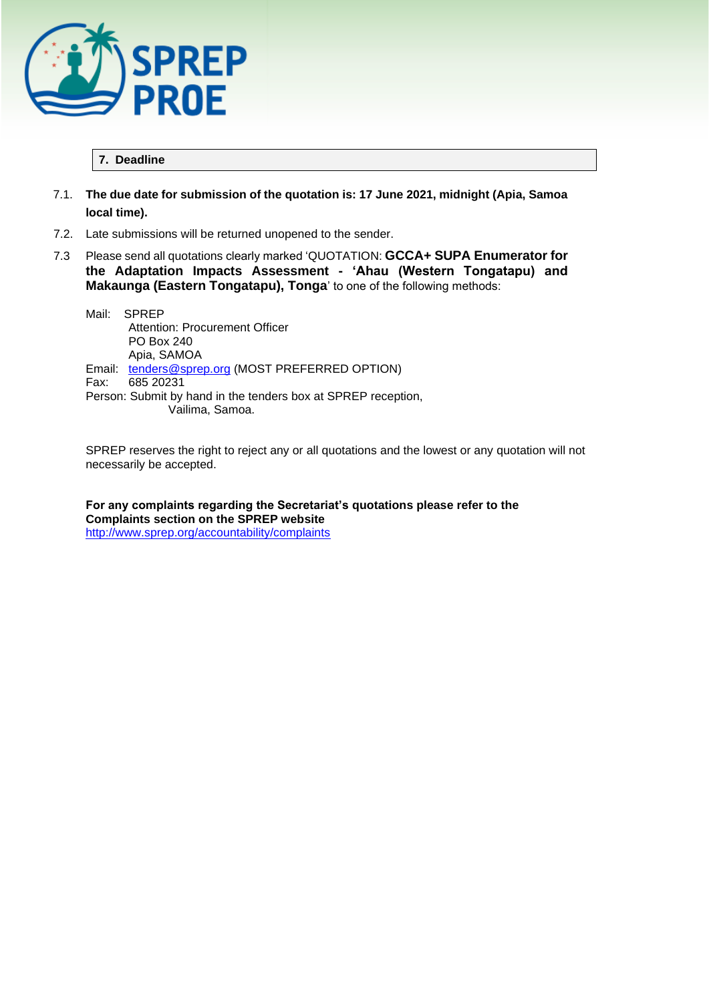

## **7. Deadline**

- 7.1. **The due date for submission of the quotation is: 17 June 2021, midnight (Apia, Samoa local time).**
- 7.2. Late submissions will be returned unopened to the sender.
- 7.3 Please send all quotations clearly marked 'QUOTATION: **GCCA+ SUPA Enumerator for the Adaptation Impacts Assessment - 'Ahau (Western Tongatapu) and Makaunga (Eastern Tongatapu), Tonga**' to one of the following methods:

Mail: SPREP Attention: Procurement Officer PO Box 240 Apia, SAMOA Email: [tenders@sprep.org](mailto:tenders@sprep.org) (MOST PREFERRED OPTION)<br>Fax: 685 20231 Fax: 685 20231 Person: Submit by hand in the tenders box at SPREP reception, Vailima, Samoa.

SPREP reserves the right to reject any or all quotations and the lowest or any quotation will not necessarily be accepted.

**For any complaints regarding the Secretariat's quotations please refer to the Complaints section on the SPREP website**  <http://www.sprep.org/accountability/complaints>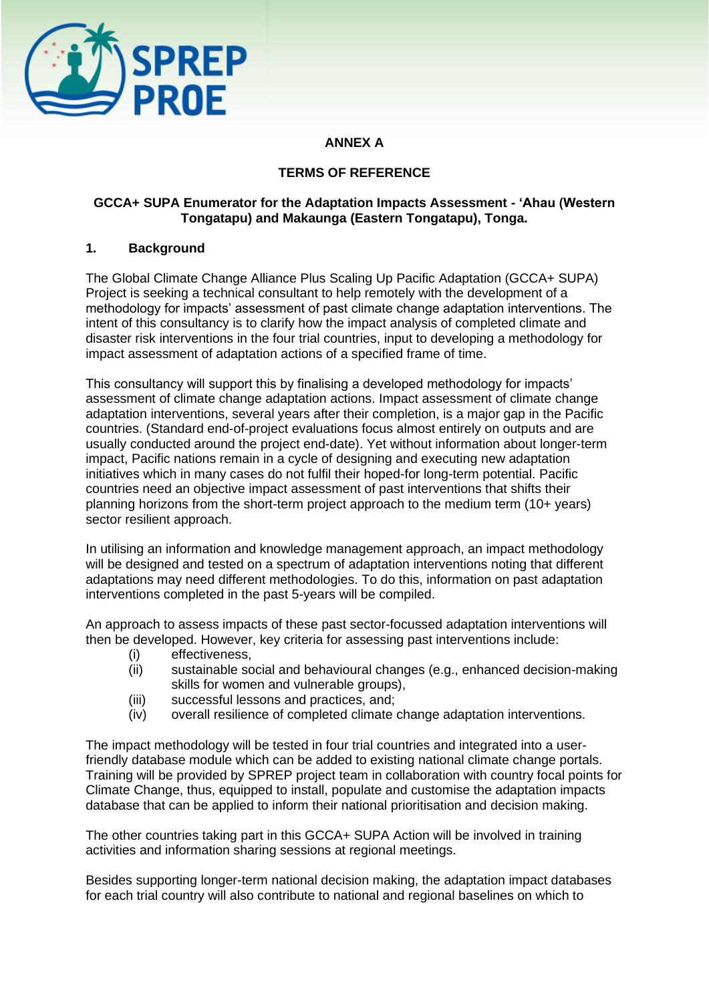

# **ANNEX A**

## **TERMS OF REFERENCE**

## **GCCA+ SUPA Enumerator for the Adaptation Impacts Assessment - 'Ahau (Western Tongatapu) and Makaunga (Eastern Tongatapu), Tonga.**

## **1. Background**

The Global Climate Change Alliance Plus Scaling Up Pacific Adaptation (GCCA+ SUPA) Project is seeking a technical consultant to help remotely with the development of a methodology for impacts' assessment of past climate change adaptation interventions. The intent of this consultancy is to clarify how the impact analysis of completed climate and disaster risk interventions in the four trial countries, input to developing a methodology for impact assessment of adaptation actions of a specified frame of time.

This consultancy will support this by finalising a developed methodology for impacts' assessment of climate change adaptation actions. Impact assessment of climate change adaptation interventions, several years after their completion, is a major gap in the Pacific countries. (Standard end-of-project evaluations focus almost entirely on outputs and are usually conducted around the project end-date). Yet without information about longer-term impact, Pacific nations remain in a cycle of designing and executing new adaptation initiatives which in many cases do not fulfil their hoped-for long-term potential. Pacific countries need an objective impact assessment of past interventions that shifts their planning horizons from the short-term project approach to the medium term (10+ years) sector resilient approach.

In utilising an information and knowledge management approach, an impact methodology will be designed and tested on a spectrum of adaptation interventions noting that different adaptations may need different methodologies. To do this, information on past adaptation interventions completed in the past 5-years will be compiled.

An approach to assess impacts of these past sector-focussed adaptation interventions will then be developed. However, key criteria for assessing past interventions include:

- (i) effectiveness,
- (ii) sustainable social and behavioural changes (e.g., enhanced decision-making skills for women and vulnerable groups),
- (iii) successful lessons and practices, and;
- (iv) overall resilience of completed climate change adaptation interventions.

The impact methodology will be tested in four trial countries and integrated into a userfriendly database module which can be added to existing national climate change portals. Training will be provided by SPREP project team in collaboration with country focal points for Climate Change, thus, equipped to install, populate and customise the adaptation impacts database that can be applied to inform their national prioritisation and decision making.

The other countries taking part in this GCCA+ SUPA Action will be involved in training activities and information sharing sessions at regional meetings.

Besides supporting longer-term national decision making, the adaptation impact databases for each trial country will also contribute to national and regional baselines on which to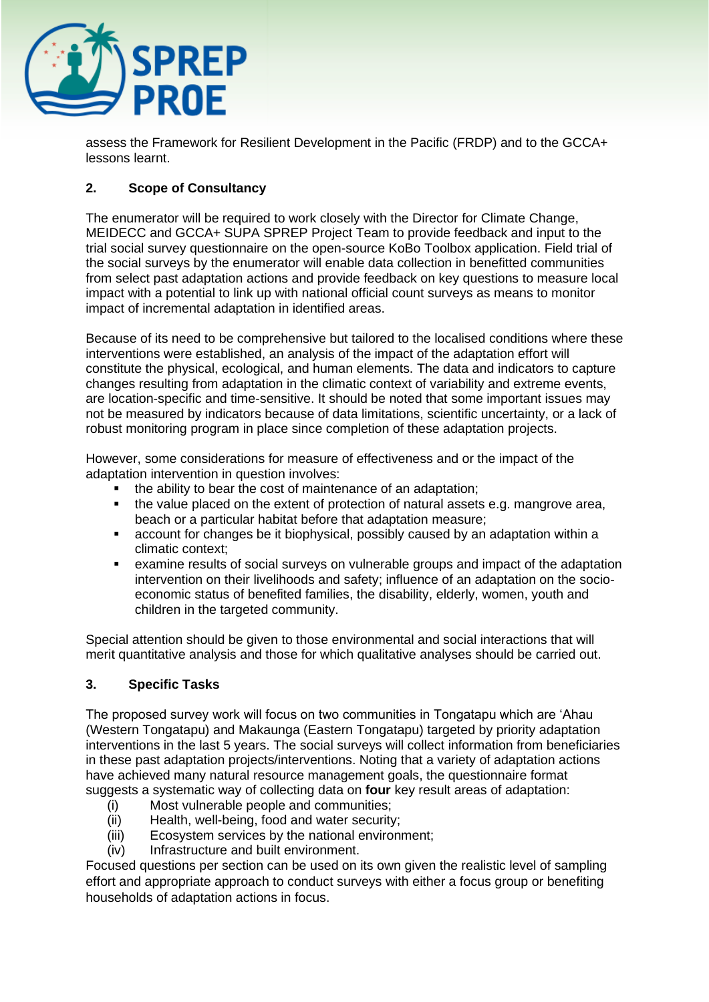

assess the Framework for Resilient Development in the Pacific (FRDP) and to the GCCA+ lessons learnt.

# **2. Scope of Consultancy**

The enumerator will be required to work closely with the Director for Climate Change, MEIDECC and GCCA+ SUPA SPREP Project Team to provide feedback and input to the trial social survey questionnaire on the open-source KoBo Toolbox application. Field trial of the social surveys by the enumerator will enable data collection in benefitted communities from select past adaptation actions and provide feedback on key questions to measure local impact with a potential to link up with national official count surveys as means to monitor impact of incremental adaptation in identified areas.

Because of its need to be comprehensive but tailored to the localised conditions where these interventions were established, an analysis of the impact of the adaptation effort will constitute the physical, ecological, and human elements. The data and indicators to capture changes resulting from adaptation in the climatic context of variability and extreme events, are location-specific and time-sensitive. It should be noted that some important issues may not be measured by indicators because of data limitations, scientific uncertainty, or a lack of robust monitoring program in place since completion of these adaptation projects.

However, some considerations for measure of effectiveness and or the impact of the adaptation intervention in question involves:

- the ability to bear the cost of maintenance of an adaptation;
- the value placed on the extent of protection of natural assets e.g. mangrove area, beach or a particular habitat before that adaptation measure;
- account for changes be it biophysical, possibly caused by an adaptation within a climatic context;
- examine results of social surveys on vulnerable groups and impact of the adaptation intervention on their livelihoods and safety; influence of an adaptation on the socioeconomic status of benefited families, the disability, elderly, women, youth and children in the targeted community.

Special attention should be given to those environmental and social interactions that will merit quantitative analysis and those for which qualitative analyses should be carried out.

# **3. Specific Tasks**

The proposed survey work will focus on two communities in Tongatapu which are 'Ahau (Western Tongatapu) and Makaunga (Eastern Tongatapu) targeted by priority adaptation interventions in the last 5 years. The social surveys will collect information from beneficiaries in these past adaptation projects/interventions. Noting that a variety of adaptation actions have achieved many natural resource management goals, the questionnaire format suggests a systematic way of collecting data on **four** key result areas of adaptation:

- (i) Most vulnerable people and communities;
- (ii) Health, well-being, food and water security;
- (iii) Ecosystem services by the national environment;
- (iv) Infrastructure and built environment.

Focused questions per section can be used on its own given the realistic level of sampling effort and appropriate approach to conduct surveys with either a focus group or benefiting households of adaptation actions in focus.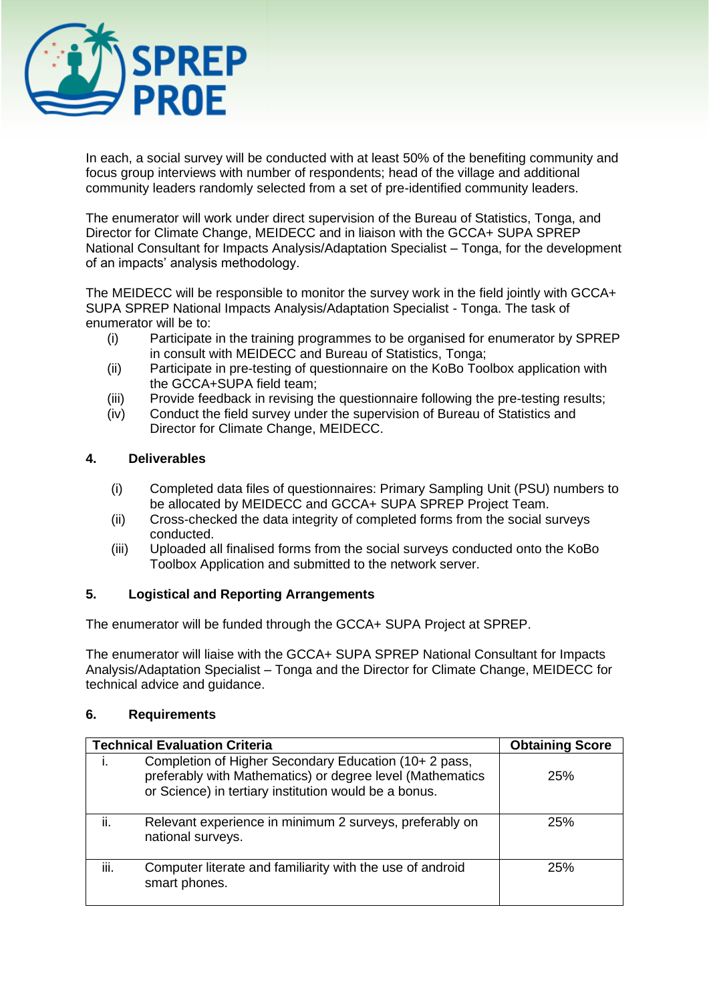

In each, a social survey will be conducted with at least 50% of the benefiting community and focus group interviews with number of respondents; head of the village and additional community leaders randomly selected from a set of pre-identified community leaders.

The enumerator will work under direct supervision of the Bureau of Statistics, Tonga, and Director for Climate Change, MEIDECC and in liaison with the GCCA+ SUPA SPREP National Consultant for Impacts Analysis/Adaptation Specialist – Tonga, for the development of an impacts' analysis methodology.

The MEIDECC will be responsible to monitor the survey work in the field jointly with GCCA+ SUPA SPREP National Impacts Analysis/Adaptation Specialist - Tonga. The task of enumerator will be to:

- (i) Participate in the training programmes to be organised for enumerator by SPREP in consult with MEIDECC and Bureau of Statistics, Tonga;
- (ii) Participate in pre-testing of questionnaire on the KoBo Toolbox application with the GCCA+SUPA field team;
- (iii) Provide feedback in revising the questionnaire following the pre-testing results;
- (iv) Conduct the field survey under the supervision of Bureau of Statistics and Director for Climate Change, MEIDECC.

## **4. Deliverables**

- (i) Completed data files of questionnaires: Primary Sampling Unit (PSU) numbers to be allocated by MEIDECC and GCCA+ SUPA SPREP Project Team.
- (ii) Cross-checked the data integrity of completed forms from the social surveys conducted.
- (iii) Uploaded all finalised forms from the social surveys conducted onto the KoBo Toolbox Application and submitted to the network server.

# **5. Logistical and Reporting Arrangements**

The enumerator will be funded through the GCCA+ SUPA Project at SPREP.

The enumerator will liaise with the GCCA+ SUPA SPREP National Consultant for Impacts Analysis/Adaptation Specialist – Tonga and the Director for Climate Change, MEIDECC for technical advice and guidance.

## **6. Requirements**

| <b>Technical Evaluation Criteria</b> |                                                                                                                                                                             | <b>Obtaining Score</b> |
|--------------------------------------|-----------------------------------------------------------------------------------------------------------------------------------------------------------------------------|------------------------|
|                                      | Completion of Higher Secondary Education (10+ 2 pass,<br>preferably with Mathematics) or degree level (Mathematics<br>or Science) in tertiary institution would be a bonus. | 25%                    |
| ii.                                  | Relevant experience in minimum 2 surveys, preferably on<br>national surveys.                                                                                                | 25%                    |
| iii.                                 | Computer literate and familiarity with the use of android<br>smart phones.                                                                                                  | 25%                    |